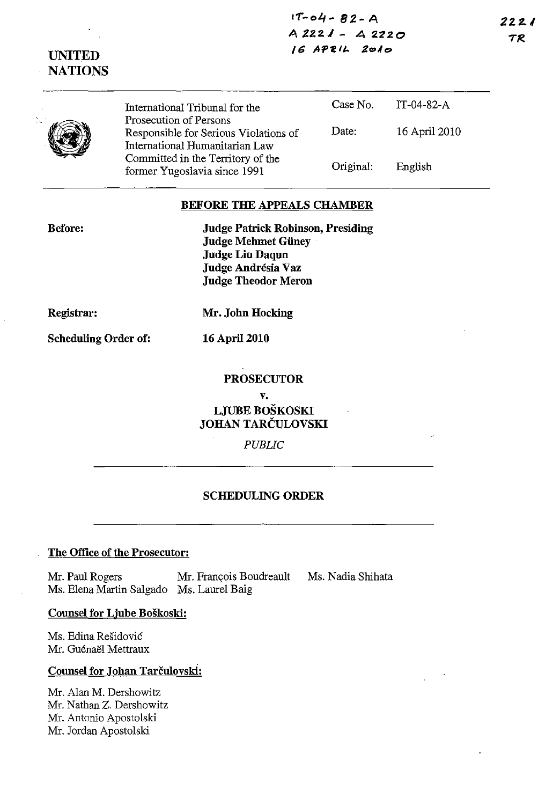**11"-olf- 82-A A 22.2 J - 4 2220**  *IG* **"''''flt.** *Ze>At:>* 

**2Z2.{**  *IF?* 

|  | International Tribunal for the                                                                    | Case No.  | $IT-04-82-A$  |
|--|---------------------------------------------------------------------------------------------------|-----------|---------------|
|  | Prosecution of Persons<br>Responsible for Serious Violations of<br>International Humanitarian Law | Date:     | 16 April 2010 |
|  | Committed in the Territory of the<br>former Yugoslavia since 1991                                 | Original: | English       |

## **BEFORE THE APPEALS CHAMBER**

**Before:** 

**UNITED NATIONS** 

> **Judge Patrick Robinson, Presiding Judge Melnnet Giiney Judge Liu Daqun Judge Andresia Vaz Judge Theodor Meron**

**Registrar:** 

**Mr. John Hocking** 

**16 April 2010** 

**Scheduling Order of:** 

**PROSECUTOR** 

**v. LJVBE BOSKOSKI JOHAN TARCULOVSKI** 

*PUBLIC* 

## **SCHEDULING ORDER**

## **The Office of the Prosecutor:**

Mr. Paul Rogers Mr. François Boudreault Ms. Nadia Shihata Ms. Elena Martin Salgado Ms. Laurel Baig

**Counsel for Ljube Boskoski:** 

Ms. Edina Residovic Mr. Guénaël Mettraux

## **Counsel for Johan Tarčulovski:**

Mr. AIan M. Dershowitz Mr. Natban Z. Dershowitz Mr. Antonio Apostolski Mr. Jordan Apostolski